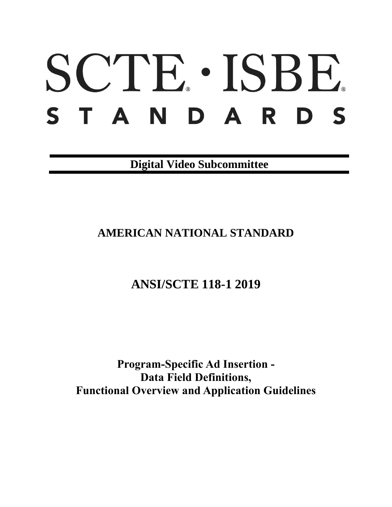# SCTE · ISBE. STANDARDS

**Digital Video Subcommittee**

# **AMERICAN NATIONAL STANDARD**

# **ANSI/SCTE 118-1 2019**

**Program-Specific Ad Insertion - Data Field Definitions, Functional Overview and Application Guidelines**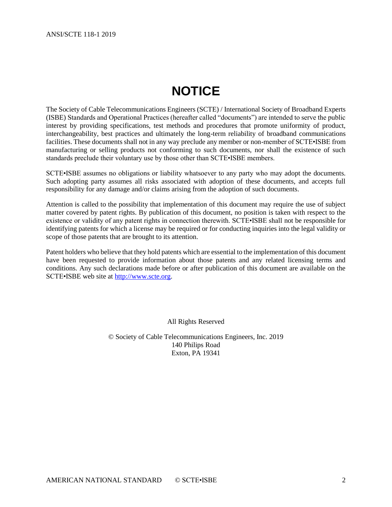# **NOTICE**

<span id="page-1-0"></span>The Society of Cable Telecommunications Engineers (SCTE) / International Society of Broadband Experts (ISBE) Standards and Operational Practices (hereafter called "documents") are intended to serve the public interest by providing specifications, test methods and procedures that promote uniformity of product, interchangeability, best practices and ultimately the long-term reliability of broadband communications facilities. These documents shall not in any way preclude any member or non-member of SCTE•ISBE from manufacturing or selling products not conforming to such documents, nor shall the existence of such standards preclude their voluntary use by those other than SCTE•ISBE members.

SCTE•ISBE assumes no obligations or liability whatsoever to any party who may adopt the documents. Such adopting party assumes all risks associated with adoption of these documents, and accepts full responsibility for any damage and/or claims arising from the adoption of such documents.

Attention is called to the possibility that implementation of this document may require the use of subject matter covered by patent rights. By publication of this document, no position is taken with respect to the existence or validity of any patent rights in connection therewith. SCTE•ISBE shall not be responsible for identifying patents for which a license may be required or for conducting inquiries into the legal validity or scope of those patents that are brought to its attention.

Patent holders who believe that they hold patents which are essential to the implementation of this document have been requested to provide information about those patents and any related licensing terms and conditions. Any such declarations made before or after publication of this document are available on the SCTE•ISBE web site at [http://www.scte.org.](http://www.scte.org/)

All Rights Reserved

© Society of Cable Telecommunications Engineers, Inc. 2019 140 Philips Road Exton, PA 19341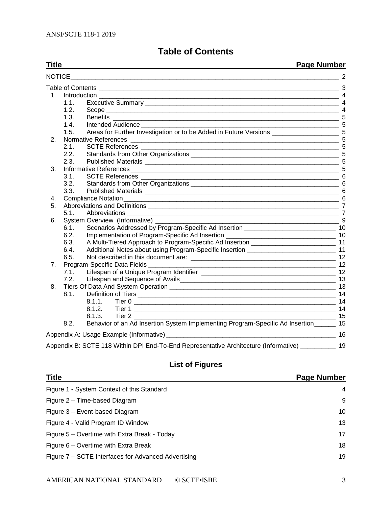## **Table of Contents**

#### <span id="page-2-0"></span>**Title Page Number** [NOTICE\\_\\_\\_\\_\\_\\_\\_\\_\\_\\_\\_\\_\\_\\_\\_\\_\\_\\_\\_\\_\\_\\_\\_\\_\\_\\_\\_\\_\\_\\_\\_\\_\\_\\_\\_\\_\\_\\_\\_\\_\\_\\_\\_\\_\\_\\_\\_\\_\\_\\_\\_\\_\\_\\_\\_\\_\\_\\_\\_\\_\\_\\_\\_\\_\\_\\_\\_\\_\\_\\_\\_\\_\\_\\_\\_\\_](#page-1-0) 2 Table of Contents [\\_\\_\\_\\_\\_\\_\\_\\_\\_\\_\\_\\_\\_\\_\\_\\_\\_\\_\\_\\_\\_\\_\\_\\_\\_\\_\\_\\_\\_\\_\\_\\_\\_\\_\\_\\_\\_\\_\\_\\_\\_\\_\\_\\_\\_\\_\\_\\_\\_\\_\\_\\_\\_\\_\\_\\_\\_\\_\\_\\_\\_\\_\\_\\_\\_\\_\\_\\_](#page-2-0) 3 1. Introduction 4 1.1. Executive Summary 2000 and the state of the state of the state of the state of the state of the state of the state of the state of the state of the state of the state of the state of the state of the state of the stat 1.2. Scope [\\_\\_\\_\\_\\_\\_\\_\\_\\_\\_\\_\\_\\_\\_\\_\\_\\_\\_\\_\\_\\_\\_\\_\\_\\_\\_\\_\\_\\_\\_\\_\\_\\_\\_\\_\\_\\_\\_\\_\\_\\_\\_\\_\\_\\_\\_\\_\\_\\_\\_\\_\\_\\_\\_\\_\\_\\_\\_\\_\\_\\_\\_\\_\\_\\_\\_](#page-3-2) 4 1.3. Benefits [\\_\\_\\_\\_\\_\\_\\_\\_\\_\\_\\_\\_\\_\\_\\_\\_\\_\\_\\_\\_\\_\\_\\_\\_\\_\\_\\_\\_\\_\\_\\_\\_\\_\\_\\_\\_\\_\\_\\_\\_\\_\\_\\_\\_\\_\\_\\_\\_\\_\\_\\_\\_\\_\\_\\_\\_\\_\\_\\_\\_\\_\\_\\_\\_](#page-4-0) 5 1.4. Intended Audience [\\_\\_\\_\\_\\_\\_\\_\\_\\_\\_\\_\\_\\_\\_\\_\\_\\_\\_\\_\\_\\_\\_\\_\\_\\_\\_\\_\\_\\_\\_\\_\\_\\_\\_\\_\\_\\_\\_\\_\\_\\_\\_\\_\\_\\_\\_\\_\\_\\_\\_\\_\\_\\_\\_\\_\\_](#page-4-1) 5 1.5. [Areas for Further Investigation or to be Added in Future Versions](#page-4-2) \_\_\_\_\_\_\_\_\_\_\_\_\_\_\_\_\_\_\_\_\_\_\_\_\_\_\_\_ 5 2. Normative References [\\_\\_\\_\\_\\_\\_\\_\\_\\_\\_\\_\\_\\_\\_\\_\\_\\_\\_\\_\\_\\_\\_\\_\\_\\_\\_\\_\\_\\_\\_\\_\\_\\_\\_\\_\\_\\_\\_\\_\\_\\_\\_\\_\\_\\_\\_\\_\\_\\_\\_\\_\\_\\_\\_\\_\\_\\_\\_\\_](#page-4-3) 5 2.1. SCTE References [\\_\\_\\_\\_\\_\\_\\_\\_\\_\\_\\_\\_\\_\\_\\_\\_\\_\\_\\_\\_\\_\\_\\_\\_\\_\\_\\_\\_\\_\\_\\_\\_\\_\\_\\_\\_\\_\\_\\_\\_\\_\\_\\_\\_\\_\\_\\_\\_\\_\\_\\_\\_\\_\\_\\_\\_](#page-4-4) 5 2.2. Standards from Other Organizations [\\_\\_\\_\\_\\_\\_\\_\\_\\_\\_\\_\\_\\_\\_\\_\\_\\_\\_\\_\\_\\_\\_\\_\\_\\_\\_\\_\\_\\_\\_\\_\\_\\_\\_\\_\\_\\_\\_\\_\\_\\_\\_](#page-4-5) 5 2.3. Published Materials [\\_\\_\\_\\_\\_\\_\\_\\_\\_\\_\\_\\_\\_\\_\\_\\_\\_\\_\\_\\_\\_\\_\\_\\_\\_\\_\\_\\_\\_\\_\\_\\_\\_\\_\\_\\_\\_\\_\\_\\_\\_\\_\\_\\_\\_\\_\\_\\_\\_\\_\\_\\_\\_\\_\\_](#page-4-6) 5 3. Informative References [\\_\\_\\_\\_\\_\\_\\_\\_\\_\\_\\_\\_\\_\\_\\_\\_\\_\\_\\_\\_\\_\\_\\_\\_\\_\\_\\_\\_\\_\\_\\_\\_\\_\\_\\_\\_\\_\\_\\_\\_\\_\\_\\_\\_\\_\\_\\_\\_\\_\\_\\_\\_\\_\\_\\_\\_\\_\\_\\_](#page-4-7) 5 3.1. SCTE References [\\_\\_\\_\\_\\_\\_\\_\\_\\_\\_\\_\\_\\_\\_\\_\\_\\_\\_\\_\\_\\_\\_\\_\\_\\_\\_\\_\\_\\_\\_\\_\\_\\_\\_\\_\\_\\_\\_\\_\\_\\_\\_\\_\\_\\_\\_\\_\\_\\_\\_\\_\\_\\_\\_\\_\\_](#page-5-0) 6 3.2. Standards from Other Organizations [\\_\\_\\_\\_\\_\\_\\_\\_\\_\\_\\_\\_\\_\\_\\_\\_\\_\\_\\_\\_\\_\\_\\_\\_\\_\\_\\_\\_\\_\\_\\_\\_\\_\\_\\_\\_\\_\\_\\_\\_\\_\\_](#page-5-1) 6 3.3. Published Materials [\\_\\_\\_\\_\\_\\_\\_\\_\\_\\_\\_\\_\\_\\_\\_\\_\\_\\_\\_\\_\\_\\_\\_\\_\\_\\_\\_\\_\\_\\_\\_\\_\\_\\_\\_\\_\\_\\_\\_\\_\\_\\_\\_\\_\\_\\_\\_\\_\\_\\_\\_\\_\\_\\_\\_](#page-5-2) 6 4. [Compliance Notation\\_\\_\\_\\_\\_\\_\\_\\_\\_\\_\\_\\_\\_\\_\\_\\_\\_\\_\\_\\_\\_\\_\\_\\_\\_\\_\\_\\_\\_\\_\\_\\_\\_\\_\\_\\_\\_\\_\\_\\_\\_\\_\\_\\_\\_\\_\\_\\_\\_\\_\\_\\_\\_\\_\\_\\_\\_\\_\\_\\_\\_](#page-5-3) 6 5. Abbreviations and Definitions [\\_\\_\\_\\_\\_\\_\\_\\_\\_\\_\\_\\_\\_\\_\\_\\_\\_\\_\\_\\_\\_\\_\\_\\_\\_\\_\\_\\_\\_\\_\\_\\_\\_\\_\\_\\_\\_\\_\\_\\_\\_\\_\\_\\_\\_\\_\\_\\_\\_\\_\\_\\_\\_\\_](#page-6-0) 7 5.1. Abbreviations [\\_\\_\\_\\_\\_\\_\\_\\_\\_\\_\\_\\_\\_\\_\\_\\_\\_\\_\\_\\_\\_\\_\\_\\_\\_\\_\\_\\_\\_\\_\\_\\_\\_\\_\\_\\_\\_\\_\\_\\_\\_\\_\\_\\_\\_\\_\\_\\_\\_\\_\\_\\_\\_\\_\\_\\_\\_\\_\\_\\_](#page-6-1) 7 6. System Overview (Informative) [\\_\\_\\_\\_\\_\\_\\_\\_\\_\\_\\_\\_\\_\\_\\_\\_\\_\\_\\_\\_\\_\\_\\_\\_\\_\\_\\_\\_\\_\\_\\_\\_\\_\\_\\_\\_\\_\\_\\_\\_\\_\\_\\_\\_\\_\\_\\_\\_\\_\\_\\_\\_](#page-8-0) 9 6.1. [Scenarios Addressed by Program-Specific Ad Insertion](#page-9-0) \_\_\_\_\_\_\_\_\_\_\_\_\_\_\_\_\_\_\_\_\_\_\_\_\_\_ 10 6.2. [Implementation of Program-Specific Ad Insertion](#page-9-1) \_\_\_\_\_\_\_\_\_\_\_\_\_\_\_\_\_\_\_\_\_\_\_\_\_\_\_\_\_\_\_ 10 6.3. [A Multi-Tiered Approach to Program-Specific Ad Insertion](#page-10-0) \_\_\_\_\_\_\_\_\_\_\_\_\_\_\_\_\_\_\_\_\_\_\_\_ 11 6.4. [Additional Notes about using Program-Specific Insertion](#page-10-1) \_\_\_\_\_\_\_\_\_\_\_\_\_\_\_\_\_\_\_\_\_\_\_\_\_ 11 6.5. Not described in this document are: [\\_\\_\\_\\_\\_\\_\\_\\_\\_\\_\\_\\_\\_\\_\\_\\_\\_\\_\\_\\_\\_\\_\\_\\_\\_\\_\\_\\_\\_\\_\\_\\_\\_\\_\\_\\_\\_\\_\\_\\_\\_](#page-11-0) 12 7. Program-Specific Data Fields [\\_\\_\\_\\_\\_\\_\\_\\_\\_\\_\\_\\_\\_\\_\\_\\_\\_\\_\\_\\_\\_\\_\\_\\_\\_\\_\\_\\_\\_\\_\\_\\_\\_\\_\\_\\_\\_\\_\\_\\_\\_\\_\\_\\_\\_\\_\\_\\_\\_\\_\\_\\_\\_](#page-11-1) 12 7.1. Lifespan of a Unique Program Identifier [\\_\\_\\_\\_\\_\\_\\_\\_\\_\\_\\_\\_\\_\\_\\_\\_\\_\\_\\_\\_\\_\\_\\_\\_\\_\\_\\_\\_\\_\\_\\_\\_\\_\\_\\_\\_\\_\\_](#page-11-2) 12 7.2. [Lifespan and Sequence of Avails\\_\\_\\_\\_\\_\\_\\_\\_\\_\\_\\_\\_\\_\\_\\_\\_\\_\\_\\_\\_\\_\\_\\_\\_\\_\\_\\_\\_\\_\\_\\_\\_\\_\\_\\_\\_\\_\\_\\_\\_\\_\\_\\_\\_](#page-12-0) 13 8. Tiers Of Data And System Operation [\\_\\_\\_\\_\\_\\_\\_\\_\\_\\_\\_\\_\\_\\_\\_\\_\\_\\_\\_\\_\\_\\_\\_\\_\\_\\_\\_\\_\\_\\_\\_\\_\\_\\_\\_\\_\\_\\_\\_\\_\\_\\_\\_\\_\\_\\_\\_](#page-12-1) 13 8.1. Definition of Tiers [\\_\\_\\_\\_\\_\\_\\_\\_\\_\\_\\_\\_\\_\\_\\_\\_\\_\\_\\_\\_\\_\\_\\_\\_\\_\\_\\_\\_\\_\\_\\_\\_\\_\\_\\_\\_\\_\\_\\_\\_\\_\\_\\_\\_\\_\\_\\_\\_\\_\\_\\_\\_\\_\\_\\_\\_](#page-13-0) 14 8.1.1. Tier 0 [\\_\\_\\_\\_\\_\\_\\_\\_\\_\\_\\_\\_\\_\\_\\_\\_\\_\\_\\_\\_\\_\\_\\_\\_\\_\\_\\_\\_\\_\\_\\_\\_\\_\\_\\_\\_\\_\\_\\_\\_\\_\\_\\_\\_\\_\\_\\_\\_\\_\\_\\_\\_\\_\\_\\_\\_\\_](#page-13-1) 14 8.1.2. Tier 1 [\\_\\_\\_\\_\\_\\_\\_\\_\\_\\_\\_\\_\\_\\_\\_\\_\\_\\_\\_\\_\\_\\_\\_\\_\\_\\_\\_\\_\\_\\_\\_\\_\\_\\_\\_\\_\\_\\_\\_\\_\\_\\_\\_\\_\\_\\_\\_\\_\\_\\_\\_\\_\\_\\_\\_\\_\\_](#page-13-2) 14 8.1.3. Tier 2 [\\_\\_\\_\\_\\_\\_\\_\\_\\_\\_\\_\\_\\_\\_\\_\\_\\_\\_\\_\\_\\_\\_\\_\\_\\_\\_\\_\\_\\_\\_\\_\\_\\_\\_\\_\\_\\_\\_\\_\\_\\_\\_\\_\\_\\_\\_\\_\\_\\_\\_\\_\\_\\_\\_\\_\\_\\_](#page-14-0) 15 8.2. Behavior of an Ad Insertion System Implementing Program-Specific Ad Insertion \_\_\_\_\_\_ 15 Appendix A: Usage Example (Informative) [\\_\\_\\_\\_\\_\\_\\_\\_\\_\\_\\_\\_\\_\\_\\_\\_\\_\\_\\_\\_\\_\\_\\_\\_\\_\\_\\_\\_\\_\\_\\_\\_\\_\\_\\_\\_\\_\\_\\_\\_\\_\\_\\_\\_\\_\\_\\_\\_](#page-15-0) 16 [Appendix B: SCTE 118 Within DPI End-To-End Representative Architecture \(Informative\)](#page-18-0) 29

## **List of Figures**

| <b>Title</b>                                        | <b>Page Number</b> |
|-----------------------------------------------------|--------------------|
| Figure 1 - System Context of this Standard          | $\overline{4}$     |
| Figure 2 – Time-based Diagram                       | -9                 |
| Figure 3 - Event-based Diagram                      | 10                 |
| Figure 4 - Valid Program ID Window                  | 13                 |
| Figure 5 – Overtime with Extra Break - Today        | 17                 |
| Figure 6 – Overtime with Extra Break                | 18                 |
| Figure 7 – SCTE Interfaces for Advanced Advertising | 19                 |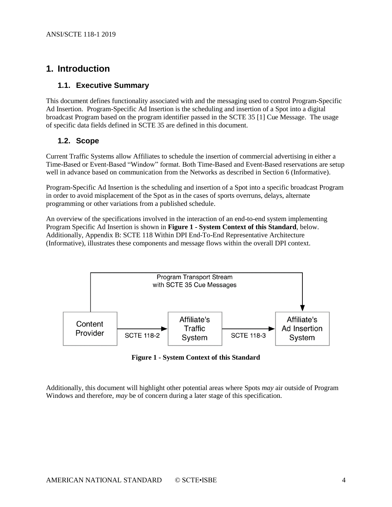## <span id="page-3-0"></span>**1. Introduction**

#### <span id="page-3-1"></span>**1.1. Executive Summary**

This document defines functionality associated with and the messaging used to control Program-Specific Ad Insertion. Program-Specific Ad Insertion is the scheduling and insertion of a Spot into a digital broadcast Program based on the program identifier passed in the SCTE 35 [\[1\]](#page-4-8) Cue Message. The usage of specific data fields defined in SCTE 35 are defined in this document.

#### <span id="page-3-2"></span>**1.2. Scope**

Current Traffic Systems allow Affiliates to schedule the insertion of commercial advertising in either a Time-Based or Event-Based "Window" format. Both Time-Based and Event-Based reservations are setup well in advance based on communication from the Networks as described in Section 6 (Informative).

Program-Specific Ad Insertion is the scheduling and insertion of a Spot into a specific broadcast Program in order to avoid misplacement of the Spot as in the cases of sports overruns, delays, alternate programming or other variations from a published schedule.

An overview of the specifications involved in the interaction of an end-to-end system implementing Program Specific Ad Insertion is shown in **Figure 1 - [System Context of this Standard](#page-3-3)**, below. Additionally, Appendix B: SCTE 118 Within DPI [End-To-End Representative Architecture](#page-18-0)  [\(Informative\),](#page-18-0) illustrates these components and message flows within the overall DPI context.



**Figure 1 - System Context of this Standard**

<span id="page-3-3"></span>Additionally, this document will highlight other potential areas where Spots *may* air outside of Program Windows and therefore, *may* be of concern during a later stage of this specification.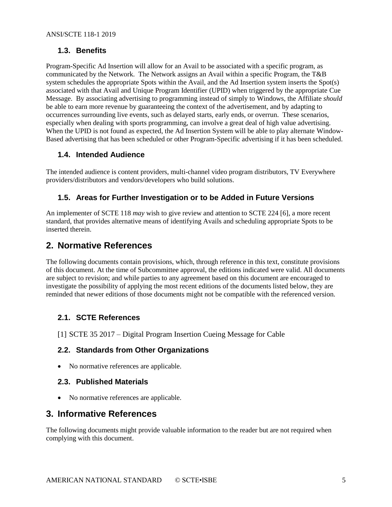#### <span id="page-4-0"></span>**1.3. Benefits**

Program-Specific Ad Insertion will allow for an Avail to be associated with a specific program, as communicated by the Network. The Network assigns an Avail within a specific Program, the T&B system schedules the appropriate Spots within the Avail, and the Ad Insertion system inserts the Spot(s) associated with that Avail and Unique Program Identifier (UPID) when triggered by the appropriate Cue Message. By associating advertising to programming instead of simply to Windows, the Affiliate *should* be able to earn more revenue by guaranteeing the context of the advertisement, and by adapting to occurrences surrounding live events, such as delayed starts, early ends, or overrun. These scenarios, especially when dealing with sports programming, can involve a great deal of high value advertising. When the UPID is not found as expected, the Ad Insertion System will be able to play alternate Window-Based advertising that has been scheduled or other Program-Specific advertising if it has been scheduled.

#### <span id="page-4-1"></span>**1.4. Intended Audience**

The intended audience is content providers, multi-channel video program distributors, TV Everywhere providers/distributors and vendors/developers who build solutions.

#### <span id="page-4-2"></span>**1.5. Areas for Further Investigation or to be Added in Future Versions**

An implementer of SCTE 118 *may* wish to give review and attention to SCTE 224 [\[6\],](#page-5-4) a more recent standard, that provides alternative means of identifying Avails and scheduling appropriate Spots to be inserted therein.

# <span id="page-4-3"></span>**2. Normative References**

The following documents contain provisions, which, through reference in this text, constitute provisions of this document. At the time of Subcommittee approval, the editions indicated were valid. All documents are subject to revision; and while parties to any agreement based on this document are encouraged to investigate the possibility of applying the most recent editions of the documents listed below, they are reminded that newer editions of those documents might not be compatible with the referenced version.

#### <span id="page-4-4"></span>**2.1. SCTE References**

<span id="page-4-8"></span><span id="page-4-5"></span>[1] SCTE 35 2017 – Digital Program Insertion Cueing Message for Cable

#### **2.2. Standards from Other Organizations**

• No normative references are applicable.

#### <span id="page-4-6"></span>**2.3. Published Materials**

• No normative references are applicable.

# <span id="page-4-7"></span>**3. Informative References**

The following documents might provide valuable information to the reader but are not required when complying with this document.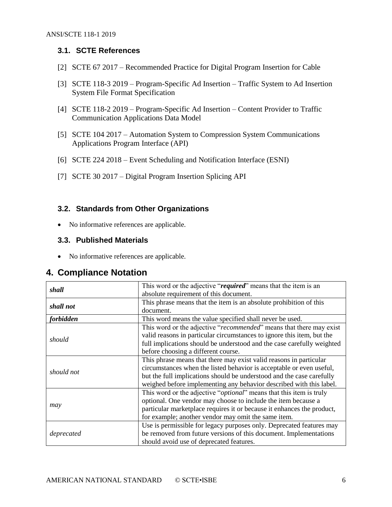#### <span id="page-5-0"></span>**3.1. SCTE References**

- <span id="page-5-5"></span>[2] SCTE 67 2017 – Recommended Practice for Digital Program Insertion for Cable
- <span id="page-5-8"></span>[3] SCTE 118-3 2019 – Program-Specific Ad Insertion – Traffic System to Ad Insertion System File Format Specification
- <span id="page-5-6"></span>[4] SCTE 118-2 2019 – Program-Specific Ad Insertion – Content Provider to Traffic Communication Applications Data Model
- [5] SCTE 104 2017 Automation System to Compression System Communications Applications Program Interface (API)
- <span id="page-5-4"></span>[6] SCTE 224 2018 – Event Scheduling and Notification Interface (ESNI)
- <span id="page-5-7"></span>[7] SCTE 30 2017 – Digital Program Insertion Splicing API

#### <span id="page-5-1"></span>**3.2. Standards from Other Organizations**

• No informative references are applicable.

#### <span id="page-5-2"></span>**3.3. Published Materials**

• No informative references are applicable.

# <span id="page-5-3"></span>**4. Compliance Notation**

| shall            | This word or the adjective "required" means that the item is an<br>absolute requirement of this document.                                                                                                                                                                                  |
|------------------|--------------------------------------------------------------------------------------------------------------------------------------------------------------------------------------------------------------------------------------------------------------------------------------------|
| shall not        | This phrase means that the item is an absolute prohibition of this<br>document.                                                                                                                                                                                                            |
| <i>forbidden</i> | This word means the value specified shall never be used.                                                                                                                                                                                                                                   |
| should           | This word or the adjective "recommended" means that there may exist<br>valid reasons in particular circumstances to ignore this item, but the<br>full implications should be understood and the case carefully weighted<br>before choosing a different course.                             |
| should not       | This phrase means that there may exist valid reasons in particular<br>circumstances when the listed behavior is acceptable or even useful,<br>but the full implications should be understood and the case carefully<br>weighed before implementing any behavior described with this label. |
| may              | This word or the adjective " <i>optional</i> " means that this item is truly<br>optional. One vendor may choose to include the item because a<br>particular marketplace requires it or because it enhances the product,<br>for example; another vendor may omit the same item.             |
| deprecated       | Use is permissible for legacy purposes only. Deprecated features may<br>be removed from future versions of this document. Implementations<br>should avoid use of deprecated features.                                                                                                      |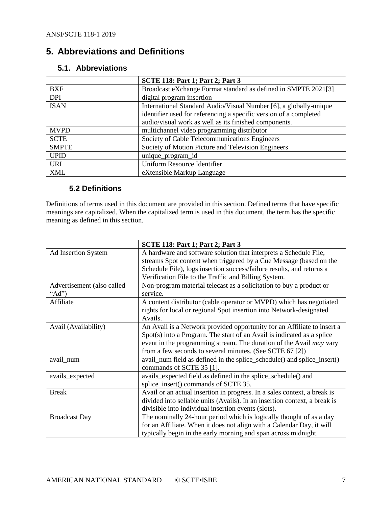# <span id="page-6-0"></span>**5. Abbreviations and Definitions**

|              | <b>SCTE 118: Part 1; Part 2; Part 3</b>                           |
|--------------|-------------------------------------------------------------------|
| <b>BXF</b>   | Broadcast eXchange Format standard as defined in SMPTE 2021[3]    |
| <b>DPI</b>   | digital program insertion                                         |
| <b>ISAN</b>  | International Standard Audio/Visual Number [6], a globally-unique |
|              | identifier used for referencing a specific version of a completed |
|              | audio/visual work as well as its finished components.             |
| <b>MVPD</b>  | multichannel video programming distributor                        |
| <b>SCTE</b>  | Society of Cable Telecommunications Engineers                     |
| <b>SMPTE</b> | Society of Motion Picture and Television Engineers                |
| <b>UPID</b>  | unique_program_id                                                 |
| <b>URI</b>   | <b>Uniform Resource Identifier</b>                                |
| <b>XML</b>   | eXtensible Markup Language                                        |

#### <span id="page-6-1"></span>**5.1. Abbreviations**

#### **5.2 Definitions**

Definitions of terms used in this document are provided in this section. Defined terms that have specific meanings are capitalized. When the capitalized term is used in this document, the term has the specific meaning as defined in this section.

|                            | <b>SCTE 118: Part 1; Part 2; Part 3</b>                                   |
|----------------------------|---------------------------------------------------------------------------|
| Ad Insertion System        | A hardware and software solution that interprets a Schedule File,         |
|                            | streams Spot content when triggered by a Cue Message (based on the        |
|                            | Schedule File), logs insertion success/failure results, and returns a     |
|                            | Verification File to the Traffic and Billing System.                      |
| Advertisement (also called | Non-program material telecast as a solicitation to buy a product or       |
| " $Ad$ ")                  | service.                                                                  |
| Affiliate                  | A content distributor (cable operator or MVPD) which has negotiated       |
|                            | rights for local or regional Spot insertion into Network-designated       |
|                            | Avails.                                                                   |
| Avail (Availability)       | An Avail is a Network provided opportunity for an Affiliate to insert a   |
|                            | Spot(s) into a Program. The start of an Avail is indicated as a splice    |
|                            | event in the programming stream. The duration of the Avail may vary       |
|                            | from a few seconds to several minutes. (See SCTE 67 [2])                  |
| avail_num                  | avail_num field as defined in the splice_schedule() and splice_insert()   |
|                            | commands of SCTE 35 [1].                                                  |
| avails_expected            | avails_expected field as defined in the splice_schedule() and             |
|                            | splice_insert() commands of SCTE 35.                                      |
| <b>Break</b>               | Avail or an actual insertion in progress. In a sales context, a break is  |
|                            | divided into sellable units (Avails). In an insertion context, a break is |
|                            | divisible into individual insertion events (slots).                       |
| <b>Broadcast Day</b>       | The nominally 24-hour period which is logically thought of as a day       |
|                            | for an Affiliate. When it does not align with a Calendar Day, it will     |
|                            | typically begin in the early morning and span across midnight.            |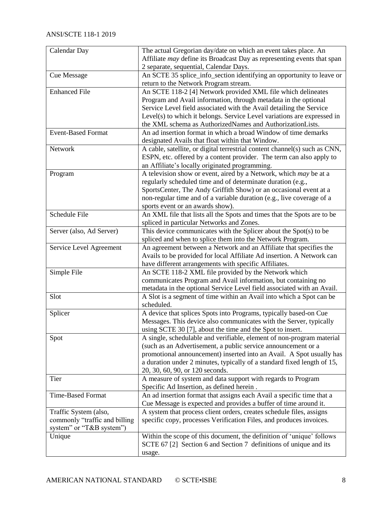| Calendar Day                  | The actual Gregorian day/date on which an event takes place. An                    |
|-------------------------------|------------------------------------------------------------------------------------|
|                               | Affiliate <i>may</i> define its Broadcast Day as representing events that span     |
|                               | 2 separate, sequential, Calendar Days.                                             |
| <b>Cue Message</b>            | An SCTE 35 splice_info_section identifying an opportunity to leave or              |
|                               | return to the Network Program stream.                                              |
| <b>Enhanced File</b>          | An SCTE 118-2 [4] Network provided XML file which delineates                       |
|                               | Program and Avail information, through metadata in the optional                    |
|                               | Service Level field associated with the Avail detailing the Service                |
|                               | Level(s) to which it belongs. Service Level variations are expressed in            |
|                               | the XML schema as AuthorizedNames and AuthorizationLists.                          |
| <b>Event-Based Format</b>     | An ad insertion format in which a broad Window of time demarks                     |
|                               | designated Avails that float within that Window.                                   |
| Network                       | A cable, satellite, or digital terrestrial content channel(s) such as CNN,         |
|                               | ESPN, etc. offered by a content provider. The term can also apply to               |
|                               | an Affiliate's locally originated programming.                                     |
| Program                       | A television show or event, aired by a Network, which may be at a                  |
|                               | regularly scheduled time and of determinate duration (e.g.,                        |
|                               | SportsCenter, The Andy Griffith Show) or an occasional event at a                  |
|                               | non-regular time and of a variable duration (e.g., live coverage of a              |
|                               | sports event or an awards show).                                                   |
| Schedule File                 | An XML file that lists all the Spots and times that the Spots are to be            |
|                               | spliced in particular Networks and Zones.                                          |
| Server (also, Ad Server)      | This device communicates with the Splicer about the Spot(s) to be                  |
|                               | spliced and when to splice them into the Network Program.                          |
| Service Level Agreement       | An agreement between a Network and an Affiliate that specifies the                 |
|                               | Avails to be provided for local Affiliate Ad insertion. A Network can              |
|                               | have different arrangements with specific Affiliates.                              |
| Simple File                   | An SCTE 118-2 XML file provided by the Network which                               |
|                               | communicates Program and Avail information, but containing no                      |
|                               | metadata in the optional Service Level field associated with an Avail.             |
| Slot                          | A Slot is a segment of time within an Avail into which a Spot can be<br>scheduled. |
| Splicer                       | A device that splices Spots into Programs, typically based-on Cue                  |
|                               | Messages. This device also communicates with the Server, typically                 |
|                               | using SCTE 30 [7], about the time and the Spot to insert.                          |
| Spot                          | A single, schedulable and verifiable, element of non-program material              |
|                               | (such as an Advertisement, a public service announcement or a                      |
|                               | promotional announcement) inserted into an Avail. A Spot usually has               |
|                               | a duration under 2 minutes, typically of a standard fixed length of 15,            |
|                               | 20, 30, 60, 90, or 120 seconds.                                                    |
| Tier                          | A measure of system and data support with regards to Program                       |
|                               | Specific Ad Insertion, as defined herein.                                          |
| <b>Time-Based Format</b>      | An ad insertion format that assigns each Avail a specific time that a              |
|                               | Cue Message is expected and provides a buffer of time around it.                   |
| Traffic System (also,         | A system that process client orders, creates schedule files, assigns               |
| commonly "traffic and billing | specific copy, processes Verification Files, and produces invoices.                |
| system" or "T&B system")      |                                                                                    |
| Unique                        | Within the scope of this document, the definition of 'unique' follows              |
|                               | SCTE 67 [2] Section 6 and Section 7 definitions of unique and its                  |
|                               | usage.                                                                             |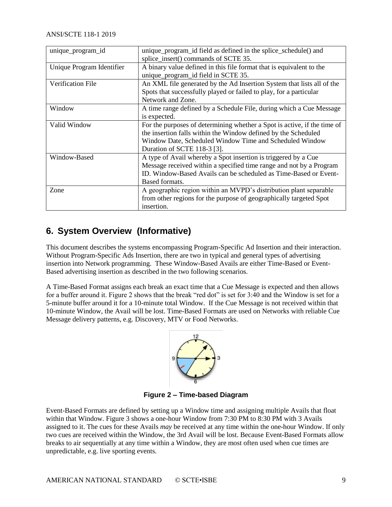| unique_program_id         | unique_program_id field as defined in the splice_schedule() and<br>splice_insert() commands of SCTE 35. |
|---------------------------|---------------------------------------------------------------------------------------------------------|
| Unique Program Identifier | A binary value defined in this file format that is equivalent to the                                    |
|                           | unique_program_id field in SCTE 35.                                                                     |
| Verification File         | An XML file generated by the Ad Insertion System that lists all of the                                  |
|                           | Spots that successfully played or failed to play, for a particular                                      |
|                           | Network and Zone.                                                                                       |
| Window                    | A time range defined by a Schedule File, during which a Cue Message                                     |
|                           | is expected.                                                                                            |
| Valid Window              | For the purposes of determining whether a Spot is active, if the time of                                |
|                           | the insertion falls within the Window defined by the Scheduled                                          |
|                           | Window Date, Scheduled Window Time and Scheduled Window                                                 |
|                           | Duration of SCTE 118-3 [3].                                                                             |
| Window-Based              | A type of Avail whereby a Spot insertion is triggered by a Cue                                          |
|                           | Message received within a specified time range and not by a Program                                     |
|                           | ID. Window-Based Avails can be scheduled as Time-Based or Event-                                        |
|                           | Based formats.                                                                                          |
| Zone                      | A geographic region within an MVPD's distribution plant separable                                       |
|                           | from other regions for the purpose of geographically targeted Spot                                      |
|                           | insertion.                                                                                              |

# <span id="page-8-0"></span>**6. System Overview (Informative)**

This document describes the systems encompassing Program-Specific Ad Insertion and their interaction. Without Program-Specific Ads Insertion, there are two in typical and general types of advertising insertion into Network programming. These Window-Based Avails are either Time-Based or Event-Based advertising insertion as described in the two following scenarios.

A Time-Based Format assigns each break an exact time that a Cue Message is expected and then allows for a buffer around it. Figure 2 shows that the break "red dot" is set for 3:40 and the Window is set for a 5-minute buffer around it for a 10-minute total Window. If the Cue Message is not received within that 10-minute Window, the Avail will be lost. Time-Based Formats are used on Networks with reliable Cue Message delivery patterns, e.g. Discovery, MTV or Food Networks.



**Figure 2 – Time-based Diagram** 

<span id="page-8-1"></span>Event-Based Formats are defined by setting up a Window time and assigning multiple Avails that float within that Window. Figure 3 shows a one-hour Window from 7:30 PM to 8:30 PM with 3 Avails assigned to it. The cues for these Avails *may* be received at any time within the one-hour Window. If only two cues are received within the Window, the 3rd Avail will be lost. Because Event-Based Formats allow breaks to air sequentially at any time within a Window, they are most often used when cue times are unpredictable, e.g. live sporting events.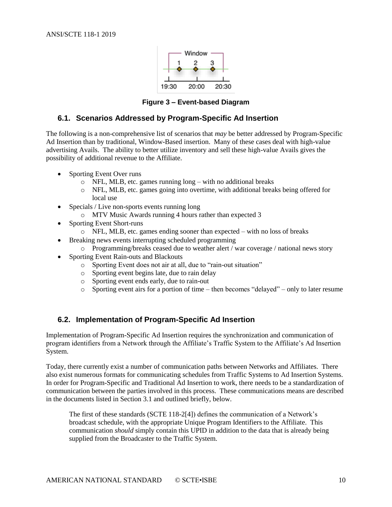

**Figure 3 – Event-based Diagram** 

#### <span id="page-9-2"></span><span id="page-9-0"></span>**6.1. Scenarios Addressed by Program-Specific Ad Insertion**

The following is a non-comprehensive list of scenarios that *may* be better addressed by Program-Specific Ad Insertion than by traditional, Window-Based insertion. Many of these cases deal with high-value advertising Avails. The ability to better utilize inventory and sell these high-value Avails gives the possibility of additional revenue to the Affiliate.

- Sporting Event Over runs
	- o NFL, MLB, etc. games running long with no additional breaks
	- o NFL, MLB, etc. games going into overtime, with additional breaks being offered for local use
- Specials / Live non-sports events running long
	- o MTV Music Awards running 4 hours rather than expected 3
- Sporting Event Short-runs
	- o NFL, MLB, etc. games ending sooner than expected with no loss of breaks
	- Breaking news events interrupting scheduled programming
		- o Programming/breaks ceased due to weather alert / war coverage / national news story
- Sporting Event Rain-outs and Blackouts
	- o Sporting Event does not air at all, due to "rain-out situation"
	- o Sporting event begins late, due to rain delay
	- o Sporting event ends early, due to rain-out
	- o Sporting event airs for a portion of time then becomes "delayed" only to later resume

#### <span id="page-9-1"></span>**6.2. Implementation of Program-Specific Ad Insertion**

Implementation of Program-Specific Ad Insertion requires the synchronization and communication of program identifiers from a Network through the Affiliate's Traffic System to the Affiliate's Ad Insertion System.

Today, there currently exist a number of communication paths between Networks and Affiliates. There also exist numerous formats for communicating schedules from Traffic Systems to Ad Insertion Systems. In order for Program-Specific and Traditional Ad Insertion to work, there needs to be a standardization of communication between the parties involved in this process. These communications means are described in the documents listed in Section 3.1 and outlined briefly, below.

The first of these standards (SCTE 118-[2\[4\]\)](#page-5-6) defines the communication of a Network's broadcast schedule, with the appropriate Unique Program Identifiers to the Affiliate. This communication *should* simply contain this UPID in addition to the data that is already being supplied from the Broadcaster to the Traffic System.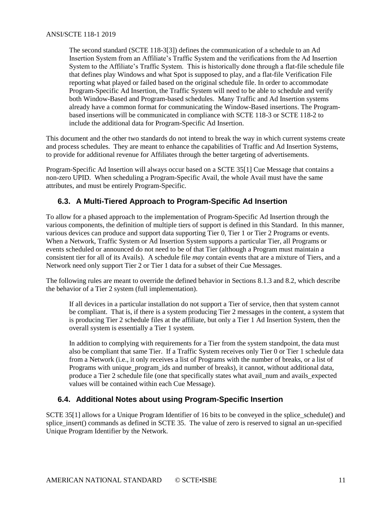#### ANSI/SCTE 118-1 2019

The second standard (SCTE 118-[3\[3\]\)](#page-5-8) defines the communication of a schedule to an Ad Insertion System from an Affiliate's Traffic System and the verifications from the Ad Insertion System to the Affiliate's Traffic System. This is historically done through a flat-file schedule file that defines play Windows and what Spot is supposed to play, and a flat-file Verification File reporting what played or failed based on the original schedule file. In order to accommodate Program-Specific Ad Insertion, the Traffic System will need to be able to schedule and verify both Window-Based and Program-based schedules. Many Traffic and Ad Insertion systems already have a common format for communicating the Window-Based insertions. The Programbased insertions will be communicated in compliance with SCTE 118-3 or SCTE 118-2 to include the additional data for Program-Specific Ad Insertion.

This document and the other two standards do not intend to break the way in which current systems create and process schedules. They are meant to enhance the capabilities of Traffic and Ad Insertion Systems, to provide for additional revenue for Affiliates through the better targeting of advertisements.

Program-Specific Ad Insertion will always occur based on a SCTE 3[5\[1\]](#page-4-8) Cue Message that contains a non-zero UPID. When scheduling a Program-Specific Avail, the whole Avail must have the same attributes, and must be entirely Program-Specific.

#### <span id="page-10-0"></span>**6.3. A Multi-Tiered Approach to Program-Specific Ad Insertion**

To allow for a phased approach to the implementation of Program-Specific Ad Insertion through the various components, the definition of multiple tiers of support is defined in this Standard. In this manner, various devices can produce and support data supporting Tier 0, Tier 1 or Tier 2 Programs or events. When a Network, Traffic System or Ad Insertion System supports a particular Tier, all Programs or events scheduled or announced do not need to be of that Tier (although a Program must maintain a consistent tier for all of its Avails). A schedule file *may* contain events that are a mixture of Tiers, and a Network need only support Tier 2 or Tier 1 data for a subset of their Cue Messages.

The following rules are meant to override the defined behavior in Sections 8.1.3 and 8.2, which describe the behavior of a Tier 2 system (full implementation).

If all devices in a particular installation do not support a Tier of service, then that system cannot be compliant. That is, if there is a system producing Tier 2 messages in the content, a system that is producing Tier 2 schedule files at the affiliate, but only a Tier 1 Ad Insertion System, then the overall system is essentially a Tier 1 system.

In addition to complying with requirements for a Tier from the system standpoint, the data must also be compliant that same Tier. If a Traffic System receives only Tier 0 or Tier 1 schedule data from a Network (i.e., it only receives a list of Programs with the number of breaks, or a list of Programs with unique\_program\_ids and number of breaks), it cannot, without additional data, produce a Tier 2 schedule file (one that specifically states what avail\_num and avails\_expected values will be contained within each Cue Message).

#### <span id="page-10-1"></span>**6.4. Additional Notes about using Program-Specific Insertion**

SCTE 3[5\[1\]](#page-4-8) allows for a Unique Program Identifier of 16 bits to be conveyed in the splice\_schedule() and splice\_insert() commands as defined in SCTE 35. The value of zero is reserved to signal an un-specified Unique Program Identifier by the Network.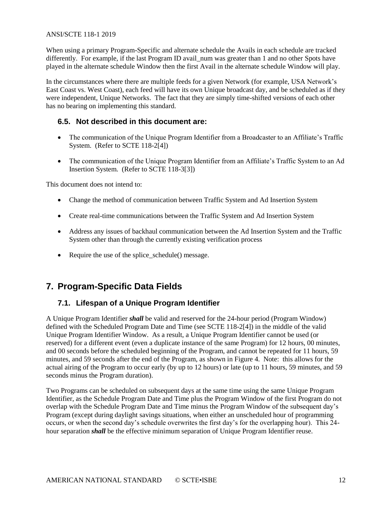#### ANSI/SCTE 118-1 2019

When using a primary Program-Specific and alternate schedule the Avails in each schedule are tracked differently. For example, if the last Program ID avail\_num was greater than 1 and no other Spots have played in the alternate schedule Window then the first Avail in the alternate schedule Window will play.

In the circumstances where there are multiple feeds for a given Network (for example, USA Network's East Coast vs. West Coast), each feed will have its own Unique broadcast day, and be scheduled as if they were independent, Unique Networks. The fact that they are simply time-shifted versions of each other has no bearing on implementing this standard.

#### <span id="page-11-0"></span>**6.5. Not described in this document are:**

- The communication of the Unique Program Identifier from a Broadcaster to an Affiliate's Traffic System. (Refer to SCTE 118-[2\[4\]\)](#page-5-6)
- The communication of the Unique Program Identifier from an Affiliate's Traffic System to an Ad Insertion System. (Refer to SCTE 118-[3\[3\]\)](#page-5-8)

This document does not intend to:

- Change the method of communication between Traffic System and Ad Insertion System
- Create real-time communications between the Traffic System and Ad Insertion System
- Address any issues of backhaul communication between the Ad Insertion System and the Traffic System other than through the currently existing verification process
- Require the use of the splice schedule() message.

# <span id="page-11-2"></span><span id="page-11-1"></span>**7. Program-Specific Data Fields**

#### **7.1. Lifespan of a Unique Program Identifier**

A Unique Program Identifier *shall* be valid and reserved for the 24-hour period (Program Window) defined with the Scheduled Program Date and Time (see SCTE 118-[2\[4\]\)](#page-5-6) in the middle of the valid Unique Program Identifier Window. As a result, a Unique Program Identifier cannot be used (or reserved) for a different event (even a duplicate instance of the same Program) for 12 hours, 00 minutes, and 00 seconds before the scheduled beginning of the Program, and cannot be repeated for 11 hours, 59 minutes, and 59 seconds after the end of the Program, as shown in Figure 4. Note: this allows for the actual airing of the Program to occur early (by up to 12 hours) or late (up to 11 hours, 59 minutes, and 59 seconds minus the Program duration).

Two Programs can be scheduled on subsequent days at the same time using the same Unique Program Identifier, as the Schedule Program Date and Time plus the Program Window of the first Program do not overlap with the Schedule Program Date and Time minus the Program Window of the subsequent day's Program (except during daylight savings situations, when either an unscheduled hour of programming occurs, or when the second day's schedule overwrites the first day's for the overlapping hour). This 24 hour separation *shall* be the effective minimum separation of Unique Program Identifier reuse.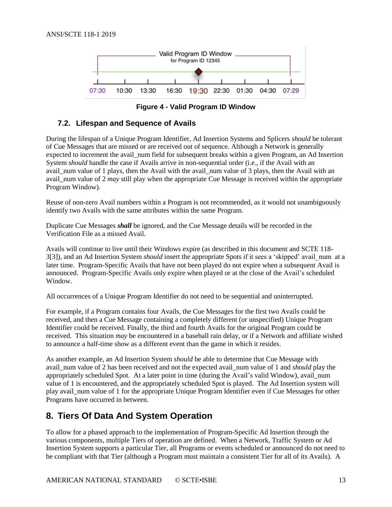

**Figure 4 - Valid Program ID Window** 

#### <span id="page-12-2"></span><span id="page-12-0"></span>**7.2. Lifespan and Sequence of Avails**

During the lifespan of a Unique Program Identifier, Ad Insertion Systems and Splicers *should* be tolerant of Cue Messages that are missed or are received out of sequence. Although a Network is generally expected to increment the avail\_num field for subsequent breaks within a given Program, an Ad Insertion System *should* handle the case if Avails arrive in non-sequential order (i.e., if the Avail with an avail num value of 1 plays, then the Avail with the avail num value of 3 plays, then the Avail with an avail\_num value of 2 *may* still play when the appropriate Cue Message is received within the appropriate Program Window).

Reuse of non-zero Avail numbers within a Program is not recommended, as it would not unambiguously identify two Avails with the same attributes within the same Program.

Duplicate Cue Messages *shall* be ignored, and the Cue Message details will be recorded in the Verification File as a missed Avail.

Avails will continue to live until their Windows expire (as described in this document and SCTE 118- [3\[3\]\)](#page-5-8), and an Ad Insertion System *should* insert the appropriate Spots if it sees a 'skipped' avail\_num at a later time. Program-Specific Avails that have not been played do not expire when a subsequent Avail is announced. Program-Specific Avails only expire when played or at the close of the Avail's scheduled Window.

All occurrences of a Unique Program Identifier do not need to be sequential and uninterrupted.

For example, if a Program contains four Avails, the Cue Messages for the first two Avails could be received, and then a Cue Message containing a completely different (or unspecified) Unique Program Identifier could be received. Finally, the third and fourth Avails for the original Program could be received. This situation *may* be encountered in a baseball rain delay, or if a Network and affiliate wished to announce a half-time show as a different event than the game in which it resides.

As another example, an Ad Insertion System *should* be able to determine that Cue Message with avail\_num value of 2 has been received and not the expected avail\_num value of 1 and *should* play the appropriately scheduled Spot. At a later point in time (during the Avail's valid Window), avail\_num value of 1 is encountered, and the appropriately scheduled Spot is played. The Ad Insertion system will play avail\_num value of 1 for the appropriate Unique Program Identifier even if Cue Messages for other Programs have occurred in between.

# <span id="page-12-1"></span>**8. Tiers Of Data And System Operation**

To allow for a phased approach to the implementation of Program-Specific Ad Insertion through the various components, multiple Tiers of operation are defined. When a Network, Traffic System or Ad Insertion System supports a particular Tier, all Programs or events scheduled or announced do not need to be compliant with that Tier (although a Program must maintain a consistent Tier for all of its Avails). A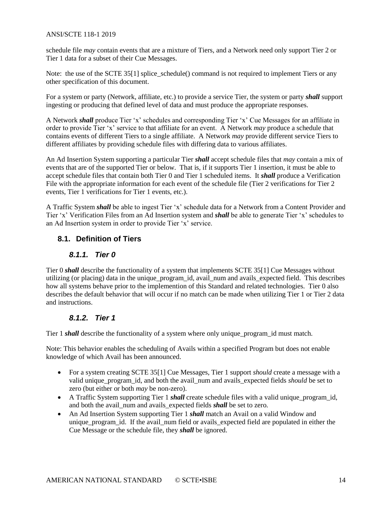#### ANSI/SCTE 118-1 2019

schedule file *may* contain events that are a mixture of Tiers, and a Network need only support Tier 2 or Tier 1 data for a subset of their Cue Messages.

Note: the use of the SCTE 3[5\[1\]](#page-4-8) splice\_schedule() command is not required to implement Tiers or any other specification of this document.

For a system or party (Network, affiliate, etc.) to provide a service Tier, the system or party *shall* support ingesting or producing that defined level of data and must produce the appropriate responses.

A Network *shall* produce Tier 'x' schedules and corresponding Tier 'x' Cue Messages for an affiliate in order to provide Tier 'x' service to that affiliate for an event. A Network *may* produce a schedule that contains events of different Tiers to a single affiliate. A Network *may* provide different service Tiers to different affiliates by providing schedule files with differing data to various affiliates.

An Ad Insertion System supporting a particular Tier *shall* accept schedule files that *may* contain a mix of events that are of the supported Tier or below. That is, if it supports Tier 1 insertion, it must be able to accept schedule files that contain both Tier 0 and Tier 1 scheduled items. It *shall* produce a Verification File with the appropriate information for each event of the schedule file (Tier 2 verifications for Tier 2 events, Tier 1 verifications for Tier 1 events, etc.).

A Traffic System *shall* be able to ingest Tier 'x' schedule data for a Network from a Content Provider and Tier 'x' Verification Files from an Ad Insertion system and *shall* be able to generate Tier 'x' schedules to an Ad Insertion system in order to provide Tier 'x' service.

#### <span id="page-13-1"></span><span id="page-13-0"></span>**8.1. Definition of Tiers**

#### *8.1.1. Tier 0*

Tier 0 *shall* describe the functionality of a system that implements SCTE 3[5\[1\]](#page-4-8) Cue Messages without utilizing (or placing) data in the unique\_program\_id, avail\_num and avails\_expected field. This describes how all systems behave prior to the implemention of this Standard and related technologies. Tier 0 also describes the default behavior that will occur if no match can be made when utilizing Tier 1 or Tier 2 data and instructions.

#### *8.1.2. Tier 1*

<span id="page-13-2"></span>Tier 1 *shall* describe the functionality of a system where only unique\_program\_id must match.

Note: This behavior enables the scheduling of Avails within a specified Program but does not enable knowledge of which Avail has been announced.

- For a system creating SCTE 3[5\[1\]](#page-4-8) Cue Messages, Tier 1 support *should* create a message with a valid unique\_program\_id, and both the avail\_num and avails\_expected fields *should* be set to zero (but either or both *may* be non-zero).
- A Traffic System supporting Tier 1 *shall* create schedule files with a valid unique\_program\_id, and both the avail num and avails expected fields *shall* be set to zero.
- An Ad Insertion System supporting Tier 1 *shall* match an Avail on a valid Window and unique program id. If the avail num field or avails expected field are populated in either the Cue Message or the schedule file, they *shall* be ignored.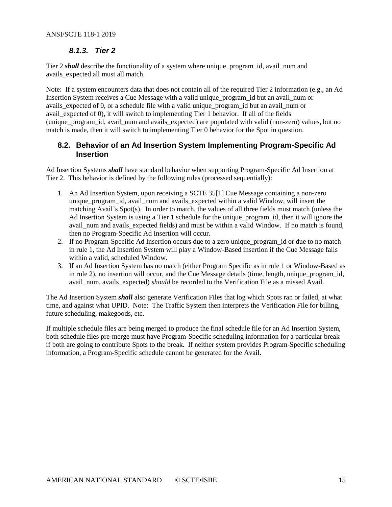#### *8.1.3. Tier 2*

<span id="page-14-0"></span>Tier 2 *shall* describe the functionality of a system where unique\_program\_id, avail\_num and avails\_expected all must all match.

Note: If a system encounters data that does not contain all of the required Tier 2 information (e.g., an Ad Insertion System receives a Cue Message with a valid unique\_program\_id but an avail\_num or avails\_expected of 0, or a schedule file with a valid unique\_program\_id but an avail\_num or avail\_expected of 0), it will switch to implementing Tier 1 behavior. If all of the fields (unique\_program\_id, avail\_num and avails\_expected) are populated with valid (non-zero) values, but no match is made, then it will switch to implementing Tier 0 behavior for the Spot in question.

#### <span id="page-14-1"></span>**8.2. Behavior of an Ad Insertion System Implementing Program-Specific Ad Insertion**

Ad Insertion Systems *shall* have standard behavior when supporting Program-Specific Ad Insertion at Tier 2. This behavior is defined by the following rules (processed sequentially):

- 1. An Ad Insertion System, upon receiving a SCTE 3[5\[1\]](#page-4-8) Cue Message containing a non-zero unique\_program\_id, avail\_num and avails\_expected within a valid Window, will insert the matching Avail's Spot(s). In order to match, the values of all three fields must match (unless the Ad Insertion System is using a Tier 1 schedule for the unique\_program\_id, then it will ignore the avail\_num and avails\_expected fields) and must be within a valid Window. If no match is found, then no Program-Specific Ad Insertion will occur.
- 2. If no Program-Specific Ad Insertion occurs due to a zero unique\_program\_id or due to no match in rule 1, the Ad Insertion System will play a Window-Based insertion if the Cue Message falls within a valid, scheduled Window.
- 3. If an Ad Insertion System has no match (either Program Specific as in rule 1 or Window-Based as in rule 2), no insertion will occur, and the Cue Message details (time, length, unique\_program\_id, avail\_num, avails\_expected) *should* be recorded to the Verification File as a missed Avail.

The Ad Insertion System *shall* also generate Verification Files that log which Spots ran or failed, at what time, and against what UPID. Note: The Traffic System then interprets the Verification File for billing, future scheduling, makegoods, etc.

If multiple schedule files are being merged to produce the final schedule file for an Ad Insertion System, both schedule files pre-merge must have Program-Specific scheduling information for a particular break if both are going to contribute Spots to the break. If neither system provides Program-Specific scheduling information, a Program-Specific schedule cannot be generated for the Avail.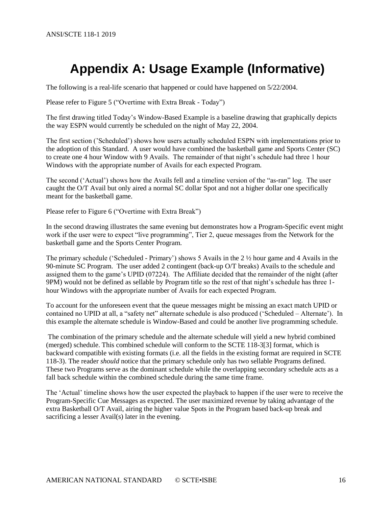# <span id="page-15-0"></span>**Appendix A: Usage Example (Informative)**

The following is a real-life scenario that happened or could have happened on 5/22/2004.

Please refer to Figure 5 ("Overtime with Extra Break - Today")

The first drawing titled Today's Window-Based Example is a baseline drawing that graphically depicts the way ESPN would currently be scheduled on the night of May 22, 2004.

The first section ('Scheduled') shows how users actually scheduled ESPN with implementations prior to the adoption of this Standard. A user would have combined the basketball game and Sports Center (SC) to create one 4 hour Window with 9 Avails. The remainder of that night's schedule had three 1 hour Windows with the appropriate number of Avails for each expected Program.

The second ('Actual') shows how the Avails fell and a timeline version of the "as-ran" log. The user caught the O/T Avail but only aired a normal SC dollar Spot and not a higher dollar one specifically meant for the basketball game.

Please refer to Figure 6 ("Overtime with Extra Break")

In the second drawing illustrates the same evening but demonstrates how a Program-Specific event might work if the user were to expect "live programming", Tier 2, queue messages from the Network for the basketball game and the Sports Center Program.

The primary schedule ('Scheduled - Primary') shows 5 Avails in the 2 ½ hour game and 4 Avails in the 90-minute SC Program. The user added 2 contingent (back-up O/T breaks) Avails to the schedule and assigned them to the game's UPID (07224). The Affiliate decided that the remainder of the night (after 9PM) would not be defined as sellable by Program title so the rest of that night's schedule has three 1 hour Windows with the appropriate number of Avails for each expected Program.

To account for the unforeseen event that the queue messages might be missing an exact match UPID or contained no UPID at all, a "safety net" alternate schedule is also produced ('Scheduled – Alternate'). In this example the alternate schedule is Window-Based and could be another live programming schedule.

The combination of the primary schedule and the alternate schedule will yield a new hybrid combined (merged) schedule. This combined schedule will conform to the SCTE 118-[3\[3\]](#page-5-8) format, which is backward compatible with existing formats (i.e. all the fields in the existing format are required in SCTE 118-3). The reader *should* notice that the primary schedule only has two sellable Programs defined. These two Programs serve as the dominant schedule while the overlapping secondary schedule acts as a fall back schedule within the combined schedule during the same time frame.

The 'Actual' timeline shows how the user expected the playback to happen if the user were to receive the Program-Specific Cue Messages as expected. The user maximized revenue by taking advantage of the extra Basketball O/T Avail, airing the higher value Spots in the Program based back-up break and sacrificing a lesser Avail(s) later in the evening.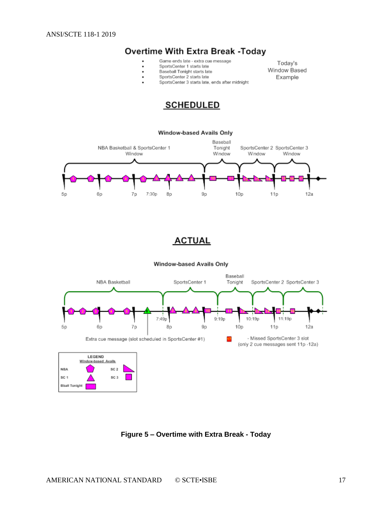# **Overtime With Extra Break -Today**

- Game ends late extra cue message
	- SportsCenter 1 starts late
- Baseball Tonight starts late
	-
	- SportsCenter 2 starts late
- SportsCenter 3 starts late, ends after midnight

Today's Window Based Example





# **ACTUAL**

Window-based Avails Only



<span id="page-16-0"></span>**Figure 5 – Overtime with Extra Break - Today**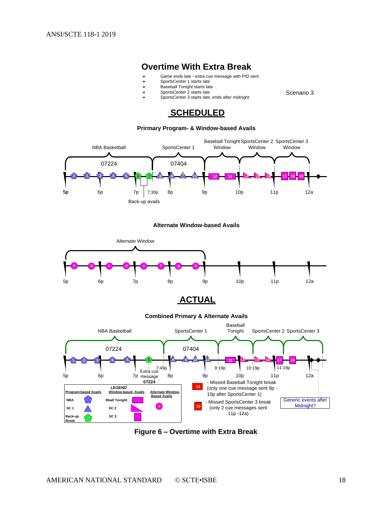## **Overtime With Extra Break**

• Game ends late - extra cue message with PID sent

Scenario 3

- SportsCenter 1 starts late
	- Baseball Tonight starts late
	- SportsCenter 2 starts late
	- SportsCenter 3 starts late, ends after midnight

#### **SCHEDULED**

#### **Prirmary Program- & Window-based Avails**



#### **Alternate Window-based Avails**









<span id="page-17-0"></span>